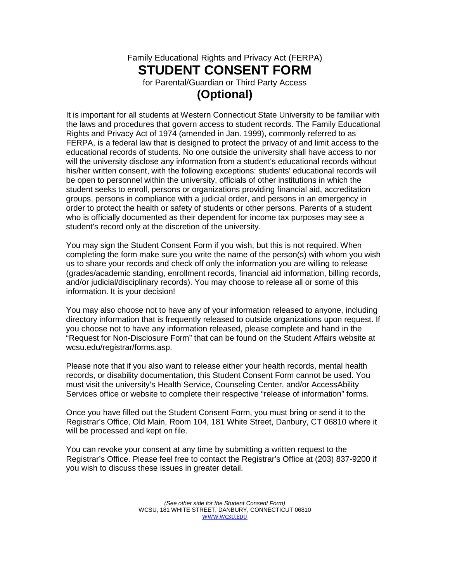## Family Educational Rights and Privacy Act (FERPA) **STUDENT CONSENT FORM** for Parental/Guardian or Third Party Access **(Optional)**

It is important for all students at Western Connecticut State University to be familiar with the laws and procedures that govern access to student records. The Family Educational Rights and Privacy Act of 1974 (amended in Jan. 1999), commonly referred to as FERPA, is a federal law that is designed to protect the privacy of and limit access to the educational records of students. No one outside the university shall have access to nor will the university disclose any information from a student's educational records without his/her written consent, with the following exceptions: students' educational records will be open to personnel within the university, officials of other institutions in which the student seeks to enroll, persons or organizations providing financial aid, accreditation groups, persons in compliance with a judicial order, and persons in an emergency in order to protect the health or safety of students or other persons. Parents of a student who is officially documented as their dependent for income tax purposes may see a student's record only at the discretion of the university.

You may sign the Student Consent Form if you wish, but this is not required. When completing the form make sure you write the name of the person(s) with whom you wish us to share your records and check off only the information you are willing to release (grades/academic standing, enrollment records, financial aid information, billing records, and/or judicial/disciplinary records). You may choose to release all or some of this information. It is your decision!

You may also choose not to have any of your information released to anyone, including directory information that is frequently released to outside organizations upon request. If you choose not to have any information released, please complete and hand in the "Request for Non-Disclosure Form" that can be found on the Student Affairs website at wcsu.edu/registrar/forms.asp.

Please note that if you also want to release either your health records, mental health records, or disability documentation, this Student Consent Form cannot be used. You must visit the university's Health Service, Counseling Center, and/or AccessAbility Services office or website to complete their respective "release of information" forms.

Once you have filled out the Student Consent Form, you must bring or send it to the Registrar's Office, Old Main, Room 104, 181 White Street, Danbury, CT 06810 where it will be processed and kept on file.

You can revoke your consent at any time by submitting a written request to the Registrar's Office. Please feel free to contact the Registrar's Office at (203) 837-9200 if you wish to discuss these issues in greater detail.

> *(See other side for the Student Consent Form)* WCSU, 181 WHITE STREET, DANBURY, CONNECTICUT 06810 [WWW.WCSU.EDU](http://www.wcsu.edu/)